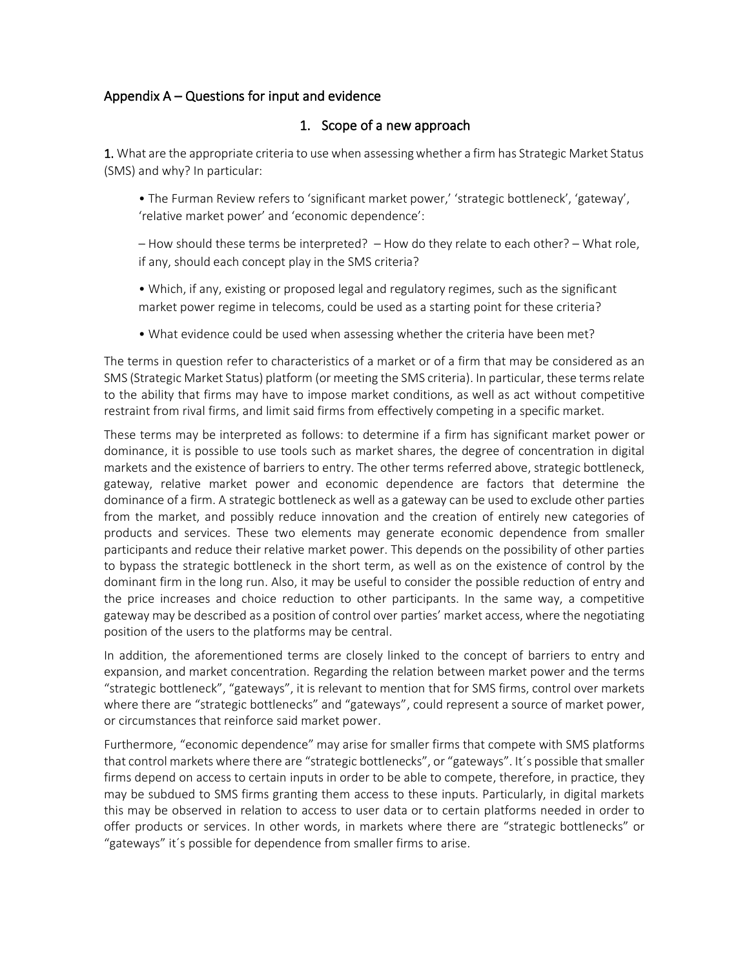## Appendix A – Questions for input and evidence

## 1. Scope of a new approach

1. What are the appropriate criteria to use when assessing whether a firm has Strategic Market Status (SMS) and why? In particular:

• The Furman Review refers to 'significant market power,' 'strategic bottleneck', 'gateway', 'relative market power' and 'economic dependence':

– How should these terms be interpreted? – How do they relate to each other? – What role, if any, should each concept play in the SMS criteria?

• Which, if any, existing or proposed legal and regulatory regimes, such as the significant market power regime in telecoms, could be used as a starting point for these criteria?

• What evidence could be used when assessing whether the criteria have been met?

The terms in question refer to characteristics of a market or of a firm that may be considered as an SMS (Strategic Market Status) platform (or meeting the SMS criteria). In particular, these terms relate to the ability that firms may have to impose market conditions, as well as act without competitive restraint from rival firms, and limit said firms from effectively competing in a specific market.

These terms may be interpreted as follows: to determine if a firm has significant market power or dominance, it is possible to use tools such as market shares, the degree of concentration in digital markets and the existence of barriers to entry. The other terms referred above, strategic bottleneck, gateway, relative market power and economic dependence are factors that determine the dominance of a firm. A strategic bottleneck as well as a gateway can be used to exclude other parties from the market, and possibly reduce innovation and the creation of entirely new categories of products and services. These two elements may generate economic dependence from smaller participants and reduce their relative market power. This depends on the possibility of other parties to bypass the strategic bottleneck in the short term, as well as on the existence of control by the dominant firm in the long run. Also, it may be useful to consider the possible reduction of entry and the price increases and choice reduction to other participants. In the same way, a competitive gateway may be described as a position of control over parties' market access, where the negotiating position of the users to the platforms may be central.

In addition, the aforementioned terms are closely linked to the concept of barriers to entry and expansion, and market concentration. Regarding the relation between market power and the terms "strategic bottleneck", "gateways", it is relevant to mention that for SMS firms, control over markets where there are "strategic bottlenecks" and "gateways", could represent a source of market power, or circumstances that reinforce said market power.

Furthermore, "economic dependence" may arise for smaller firms that compete with SMS platforms that control markets where there are "strategic bottlenecks", or "gateways". It´s possible that smaller firms depend on access to certain inputs in order to be able to compete, therefore, in practice, they may be subdued to SMS firms granting them access to these inputs. Particularly, in digital markets this may be observed in relation to access to user data or to certain platforms needed in order to offer products or services. In other words, in markets where there are "strategic bottlenecks" or "gateways" it´s possible for dependence from smaller firms to arise.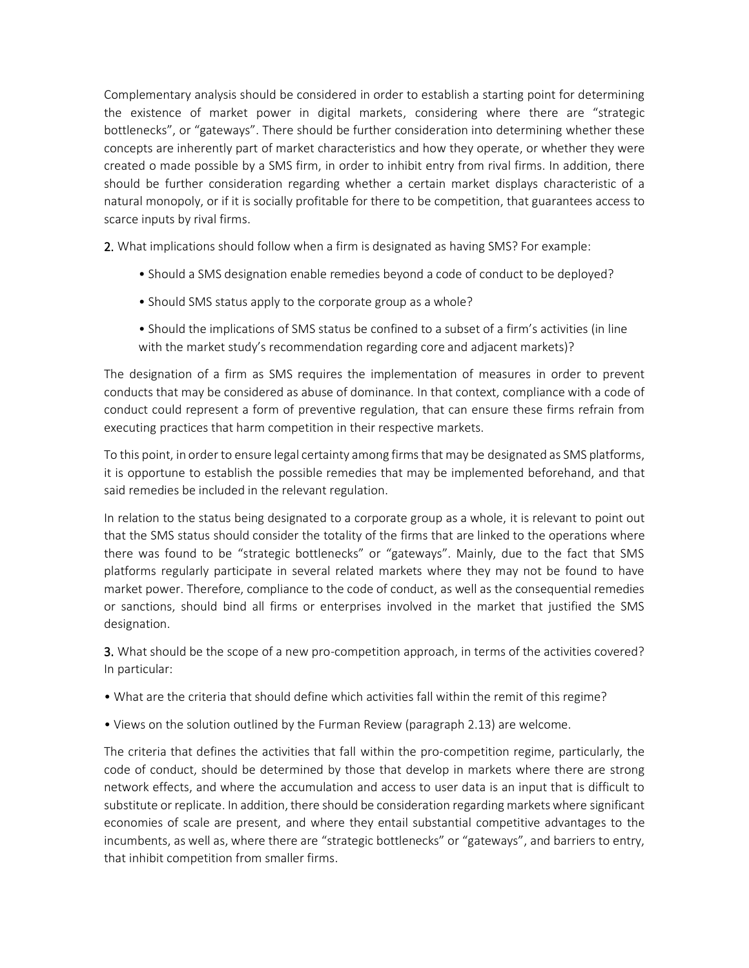Complementary analysis should be considered in order to establish a starting point for determining the existence of market power in digital markets, considering where there are "strategic bottlenecks", or "gateways". There should be further consideration into determining whether these concepts are inherently part of market characteristics and how they operate, or whether they were created o made possible by a SMS firm, in order to inhibit entry from rival firms. In addition, there should be further consideration regarding whether a certain market displays characteristic of a natural monopoly, or if it is socially profitable for there to be competition, that guarantees access to scarce inputs by rival firms.

2. What implications should follow when a firm is designated as having SMS? For example:

- Should a SMS designation enable remedies beyond a code of conduct to be deployed?
- Should SMS status apply to the corporate group as a whole?
- Should the implications of SMS status be confined to a subset of a firm's activities (in line with the market study's recommendation regarding core and adjacent markets)?

The designation of a firm as SMS requires the implementation of measures in order to prevent conducts that may be considered as abuse of dominance. In that context, compliance with a code of conduct could represent a form of preventive regulation, that can ensure these firms refrain from executing practices that harm competition in their respective markets.

To this point, in order to ensure legal certainty among firms that may be designated as SMS platforms, it is opportune to establish the possible remedies that may be implemented beforehand, and that said remedies be included in the relevant regulation.

In relation to the status being designated to a corporate group as a whole, it is relevant to point out that the SMS status should consider the totality of the firms that are linked to the operations where there was found to be "strategic bottlenecks" or "gateways". Mainly, due to the fact that SMS platforms regularly participate in several related markets where they may not be found to have market power. Therefore, compliance to the code of conduct, as well as the consequential remedies or sanctions, should bind all firms or enterprises involved in the market that justified the SMS designation.

3. What should be the scope of a new pro-competition approach, in terms of the activities covered? In particular:

- What are the criteria that should define which activities fall within the remit of this regime?
- Views on the solution outlined by the Furman Review (paragraph 2.13) are welcome.

The criteria that defines the activities that fall within the pro-competition regime, particularly, the code of conduct, should be determined by those that develop in markets where there are strong network effects, and where the accumulation and access to user data is an input that is difficult to substitute or replicate. In addition, there should be consideration regarding markets where significant economies of scale are present, and where they entail substantial competitive advantages to the incumbents, as well as, where there are "strategic bottlenecks" or "gateways", and barriers to entry, that inhibit competition from smaller firms.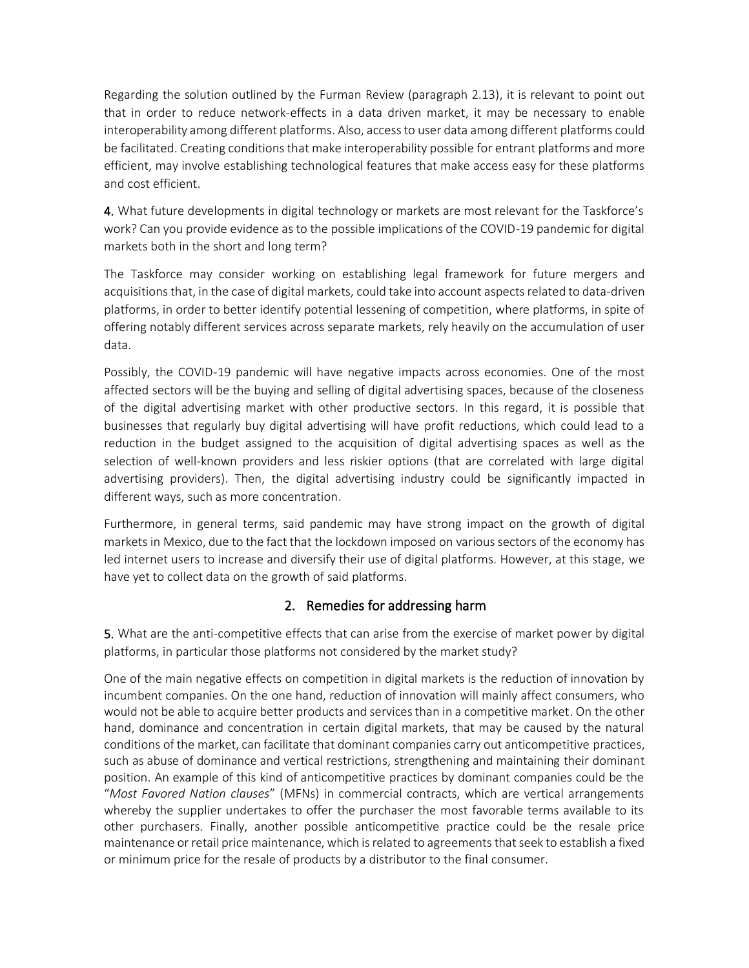Regarding the solution outlined by the Furman Review (paragraph 2.13), it is relevant to point out that in order to reduce network-effects in a data driven market, it may be necessary to enable interoperability among different platforms. Also, access to user data among different platforms could be facilitated. Creating conditions that make interoperability possible for entrant platforms and more efficient, may involve establishing technological features that make access easy for these platforms and cost efficient.

4. What future developments in digital technology or markets are most relevant for the Taskforce's work? Can you provide evidence as to the possible implications of the COVID-19 pandemic for digital markets both in the short and long term?

The Taskforce may consider working on establishing legal framework for future mergers and acquisitions that, in the case of digital markets, could take into account aspects related to data-driven platforms, in order to better identify potential lessening of competition, where platforms, in spite of offering notably different services across separate markets, rely heavily on the accumulation of user data.

Possibly, the COVID-19 pandemic will have negative impacts across economies. One of the most affected sectors will be the buying and selling of digital advertising spaces, because of the closeness of the digital advertising market with other productive sectors. In this regard, it is possible that businesses that regularly buy digital advertising will have profit reductions, which could lead to a reduction in the budget assigned to the acquisition of digital advertising spaces as well as the selection of well-known providers and less riskier options (that are correlated with large digital advertising providers). Then, the digital advertising industry could be significantly impacted in different ways, such as more concentration.

Furthermore, in general terms, said pandemic may have strong impact on the growth of digital markets in Mexico, due to the fact that the lockdown imposed on various sectors of the economy has led internet users to increase and diversify their use of digital platforms. However, at this stage, we have yet to collect data on the growth of said platforms.

## 2. Remedies for addressing harm

5. What are the anti-competitive effects that can arise from the exercise of market power by digital platforms, in particular those platforms not considered by the market study?

One of the main negative effects on competition in digital markets is the reduction of innovation by incumbent companies. On the one hand, reduction of innovation will mainly affect consumers, who would not be able to acquire better products and services than in a competitive market. On the other hand, dominance and concentration in certain digital markets, that may be caused by the natural conditions of the market, can facilitate that dominant companies carry out anticompetitive practices, such as abuse of dominance and vertical restrictions, strengthening and maintaining their dominant position. An example of this kind of anticompetitive practices by dominant companies could be the "*Most Favored Nation clauses*" (MFNs) in commercial contracts, which are vertical arrangements whereby the supplier undertakes to offer the purchaser the most favorable terms available to its other purchasers. Finally, another possible anticompetitive practice could be the resale price maintenance or retail price maintenance, which is related to agreements that seek to establish a fixed or minimum price for the resale of products by a distributor to the final consumer.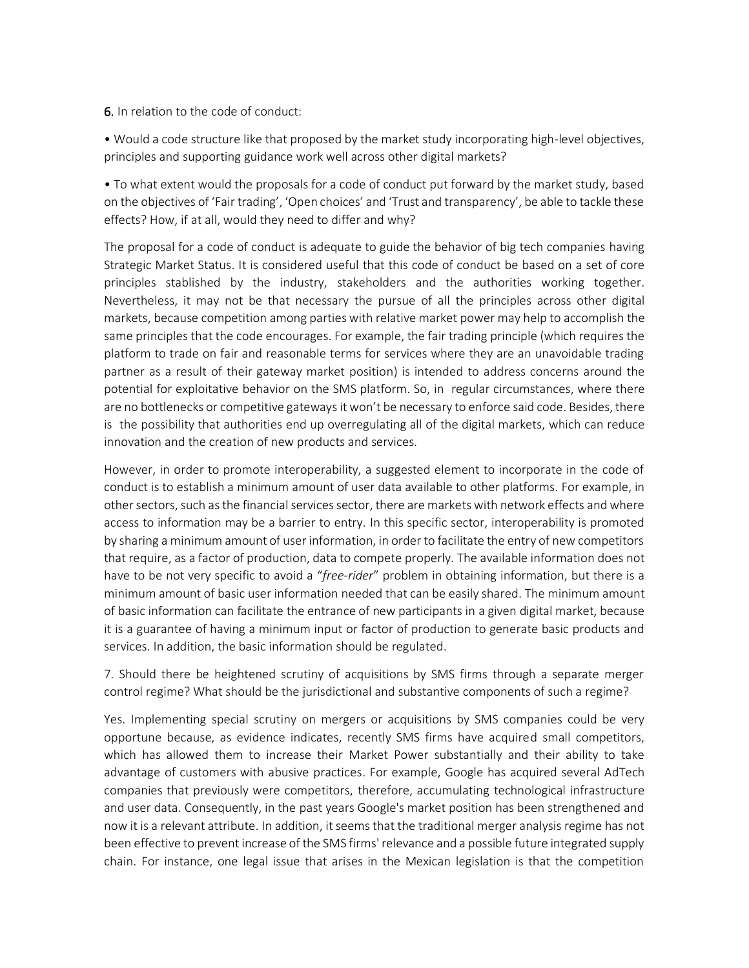6. In relation to the code of conduct:

• Would a code structure like that proposed by the market study incorporating high-level objectives, principles and supporting guidance work well across other digital markets?

• To what extent would the proposals for a code of conduct put forward by the market study, based on the objectives of 'Fair trading', 'Open choices' and 'Trust and transparency', be able to tackle these effects? How, if at all, would they need to differ and why?

The proposal for a code of conduct is adequate to guide the behavior of big tech companies having Strategic Market Status. It is considered useful that this code of conduct be based on a set of core principles stablished by the industry, stakeholders and the authorities working together. Nevertheless, it may not be that necessary the pursue of all the principles across other digital markets, because competition among parties with relative market power may help to accomplish the same principles that the code encourages. For example, the fair trading principle (which requires the platform to trade on fair and reasonable terms for services where they are an unavoidable trading partner as a result of their gateway market position) is intended to address concerns around the potential for exploitative behavior on the SMS platform. So, in regular circumstances, where there are no bottlenecks or competitive gateways it won't be necessary to enforce said code. Besides, there is the possibility that authorities end up overregulating all of the digital markets, which can reduce innovation and the creation of new products and services.

However, in order to promote interoperability, a suggested element to incorporate in the code of conduct is to establish a minimum amount of user data available to other platforms. For example, in other sectors, such as the financial services sector, there are markets with network effects and where access to information may be a barrier to entry. In this specific sector, interoperability is promoted by sharing a minimum amount of user information, in order to facilitate the entry of new competitors that require, as a factor of production, data to compete properly. The available information does not have to be not very specific to avoid a "*free-rider*" problem in obtaining information, but there is a minimum amount of basic user information needed that can be easily shared. The minimum amount of basic information can facilitate the entrance of new participants in a given digital market, because it is a guarantee of having a minimum input or factor of production to generate basic products and services. In addition, the basic information should be regulated.

7. Should there be heightened scrutiny of acquisitions by SMS firms through a separate merger control regime? What should be the jurisdictional and substantive components of such a regime?

Yes. Implementing special scrutiny on mergers or acquisitions by SMS companies could be very opportune because, as evidence indicates, recently SMS firms have acquired small competitors, which has allowed them to increase their Market Power substantially and their ability to take advantage of customers with abusive practices. For example, Google has acquired several AdTech companies that previously were competitors, therefore, accumulating technological infrastructure and user data. Consequently, in the past years Google's market position has been strengthened and now it is a relevant attribute. In addition, it seems that the traditional merger analysis regime has not been effective to prevent increase of the SMS firms' relevance and a possible future integrated supply chain. For instance, one legal issue that arises in the Mexican legislation is that the competition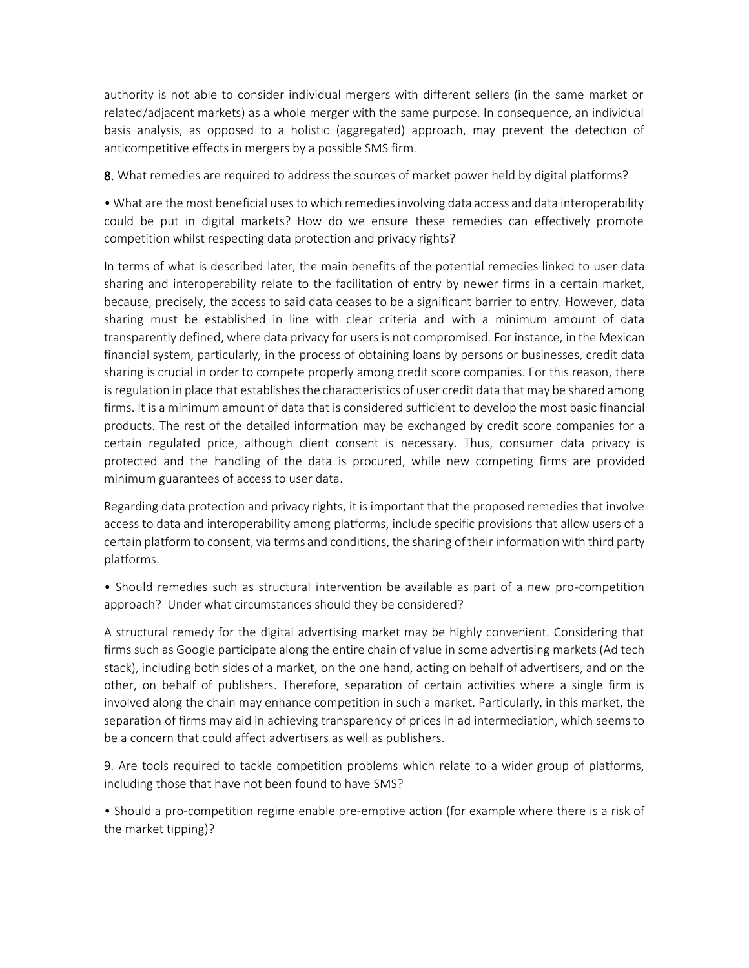authority is not able to consider individual mergers with different sellers (in the same market or related/adjacent markets) as a whole merger with the same purpose. In consequence, an individual basis analysis, as opposed to a holistic (aggregated) approach, may prevent the detection of anticompetitive effects in mergers by a possible SMS firm.

8. What remedies are required to address the sources of market power held by digital platforms?

• What are the most beneficial uses to which remedies involving data access and data interoperability could be put in digital markets? How do we ensure these remedies can effectively promote competition whilst respecting data protection and privacy rights?

In terms of what is described later, the main benefits of the potential remedies linked to user data sharing and interoperability relate to the facilitation of entry by newer firms in a certain market, because, precisely, the access to said data ceases to be a significant barrier to entry. However, data sharing must be established in line with clear criteria and with a minimum amount of data transparently defined, where data privacy for users is not compromised. For instance, in the Mexican financial system, particularly, in the process of obtaining loans by persons or businesses, credit data sharing is crucial in order to compete properly among credit score companies. For this reason, there is regulation in place that establishes the characteristics of user credit data that may be shared among firms. It is a minimum amount of data that is considered sufficient to develop the most basic financial products. The rest of the detailed information may be exchanged by credit score companies for a certain regulated price, although client consent is necessary. Thus, consumer data privacy is protected and the handling of the data is procured, while new competing firms are provided minimum guarantees of access to user data.

Regarding data protection and privacy rights, it is important that the proposed remedies that involve access to data and interoperability among platforms, include specific provisions that allow users of a certain platform to consent, via terms and conditions, the sharing of their information with third party platforms.

• Should remedies such as structural intervention be available as part of a new pro-competition approach? Under what circumstances should they be considered?

A structural remedy for the digital advertising market may be highly convenient. Considering that firms such as Google participate along the entire chain of value in some advertising markets (Ad tech stack), including both sides of a market, on the one hand, acting on behalf of advertisers, and on the other, on behalf of publishers. Therefore, separation of certain activities where a single firm is involved along the chain may enhance competition in such a market. Particularly, in this market, the separation of firms may aid in achieving transparency of prices in ad intermediation, which seems to be a concern that could affect advertisers as well as publishers.

9. Are tools required to tackle competition problems which relate to a wider group of platforms, including those that have not been found to have SMS?

• Should a pro-competition regime enable pre-emptive action (for example where there is a risk of the market tipping)?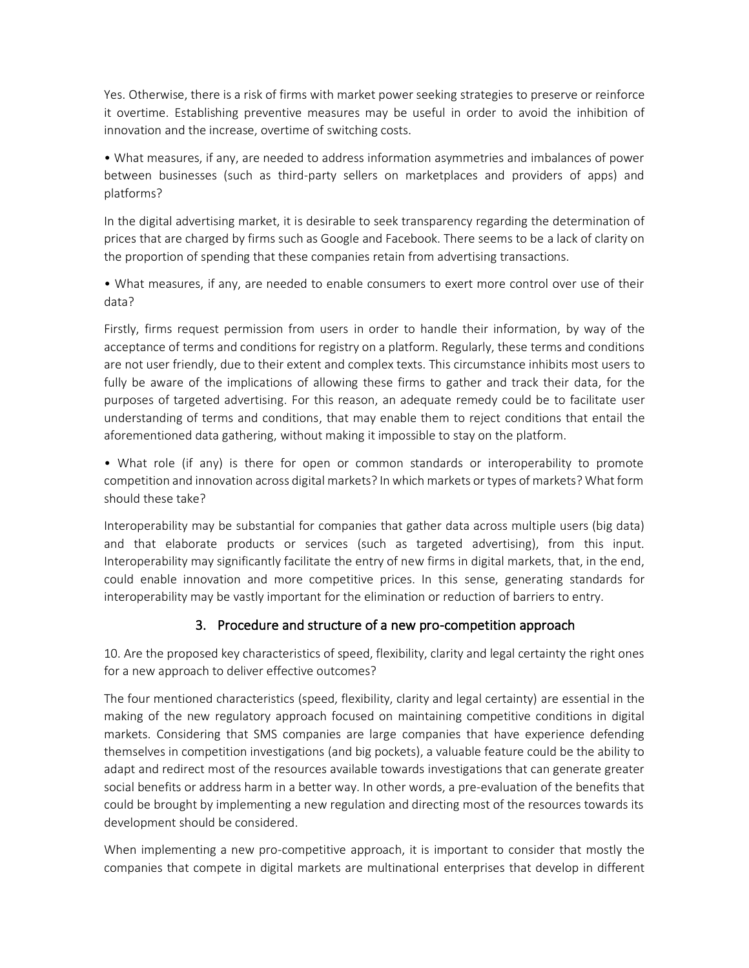Yes. Otherwise, there is a risk of firms with market power seeking strategies to preserve or reinforce it overtime. Establishing preventive measures may be useful in order to avoid the inhibition of innovation and the increase, overtime of switching costs.

• What measures, if any, are needed to address information asymmetries and imbalances of power between businesses (such as third-party sellers on marketplaces and providers of apps) and platforms?

In the digital advertising market, it is desirable to seek transparency regarding the determination of prices that are charged by firms such as Google and Facebook. There seems to be a lack of clarity on the proportion of spending that these companies retain from advertising transactions.

• What measures, if any, are needed to enable consumers to exert more control over use of their data?

Firstly, firms request permission from users in order to handle their information, by way of the acceptance of terms and conditions for registry on a platform. Regularly, these terms and conditions are not user friendly, due to their extent and complex texts. This circumstance inhibits most users to fully be aware of the implications of allowing these firms to gather and track their data, for the purposes of targeted advertising. For this reason, an adequate remedy could be to facilitate user understanding of terms and conditions, that may enable them to reject conditions that entail the aforementioned data gathering, without making it impossible to stay on the platform.

• What role (if any) is there for open or common standards or interoperability to promote competition and innovation across digital markets? In which markets or types of markets? What form should these take?

Interoperability may be substantial for companies that gather data across multiple users (big data) and that elaborate products or services (such as targeted advertising), from this input. Interoperability may significantly facilitate the entry of new firms in digital markets, that, in the end, could enable innovation and more competitive prices. In this sense, generating standards for interoperability may be vastly important for the elimination or reduction of barriers to entry.

## 3. Procedure and structure of a new pro-competition approach

10. Are the proposed key characteristics of speed, flexibility, clarity and legal certainty the right ones for a new approach to deliver effective outcomes?

The four mentioned characteristics (speed, flexibility, clarity and legal certainty) are essential in the making of the new regulatory approach focused on maintaining competitive conditions in digital markets. Considering that SMS companies are large companies that have experience defending themselves in competition investigations (and big pockets), a valuable feature could be the ability to adapt and redirect most of the resources available towards investigations that can generate greater social benefits or address harm in a better way. In other words, a pre-evaluation of the benefits that could be brought by implementing a new regulation and directing most of the resources towards its development should be considered.

When implementing a new pro-competitive approach, it is important to consider that mostly the companies that compete in digital markets are multinational enterprises that develop in different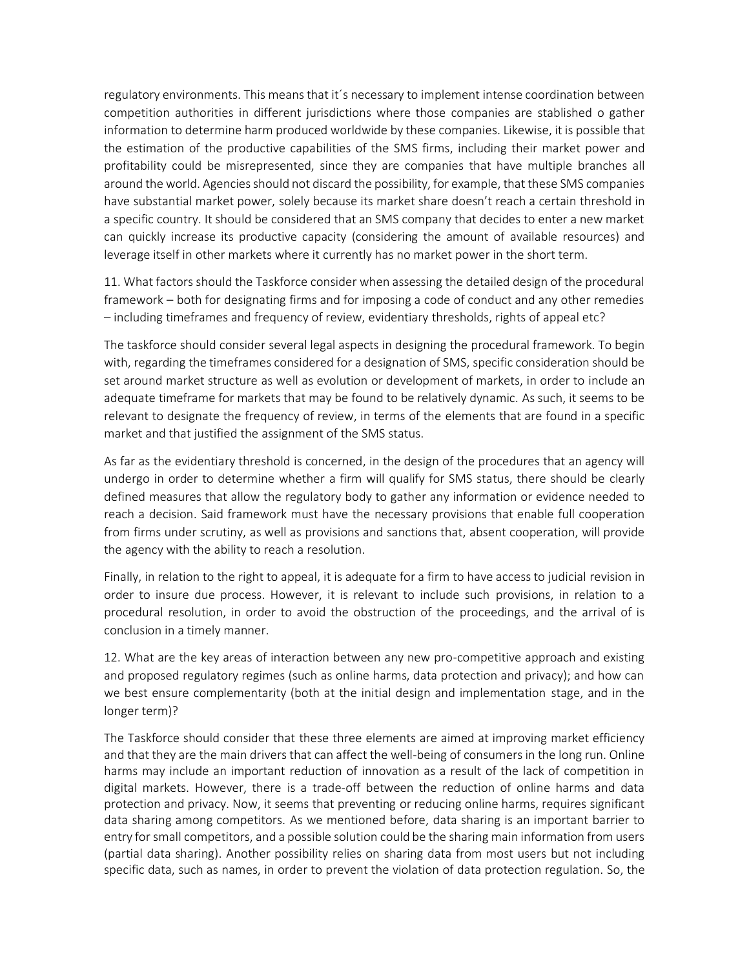regulatory environments. This means that it´s necessary to implement intense coordination between competition authorities in different jurisdictions where those companies are stablished o gather information to determine harm produced worldwide by these companies. Likewise, it is possible that the estimation of the productive capabilities of the SMS firms, including their market power and profitability could be misrepresented, since they are companies that have multiple branches all around the world. Agencies should not discard the possibility, for example, that these SMS companies have substantial market power, solely because its market share doesn't reach a certain threshold in a specific country. It should be considered that an SMS company that decides to enter a new market can quickly increase its productive capacity (considering the amount of available resources) and leverage itself in other markets where it currently has no market power in the short term.

11. What factors should the Taskforce consider when assessing the detailed design of the procedural framework – both for designating firms and for imposing a code of conduct and any other remedies – including timeframes and frequency of review, evidentiary thresholds, rights of appeal etc?

The taskforce should consider several legal aspects in designing the procedural framework. To begin with, regarding the timeframes considered for a designation of SMS, specific consideration should be set around market structure as well as evolution or development of markets, in order to include an adequate timeframe for markets that may be found to be relatively dynamic. As such, it seems to be relevant to designate the frequency of review, in terms of the elements that are found in a specific market and that justified the assignment of the SMS status.

As far as the evidentiary threshold is concerned, in the design of the procedures that an agency will undergo in order to determine whether a firm will qualify for SMS status, there should be clearly defined measures that allow the regulatory body to gather any information or evidence needed to reach a decision. Said framework must have the necessary provisions that enable full cooperation from firms under scrutiny, as well as provisions and sanctions that, absent cooperation, will provide the agency with the ability to reach a resolution.

Finally, in relation to the right to appeal, it is adequate for a firm to have access to judicial revision in order to insure due process. However, it is relevant to include such provisions, in relation to a procedural resolution, in order to avoid the obstruction of the proceedings, and the arrival of is conclusion in a timely manner.

12. What are the key areas of interaction between any new pro-competitive approach and existing and proposed regulatory regimes (such as online harms, data protection and privacy); and how can we best ensure complementarity (both at the initial design and implementation stage, and in the longer term)?

The Taskforce should consider that these three elements are aimed at improving market efficiency and that they are the main drivers that can affect the well-being of consumers in the long run. Online harms may include an important reduction of innovation as a result of the lack of competition in digital markets. However, there is a trade-off between the reduction of online harms and data protection and privacy. Now, it seems that preventing or reducing online harms, requires significant data sharing among competitors. As we mentioned before, data sharing is an important barrier to entry for small competitors, and a possible solution could be the sharing main information from users (partial data sharing). Another possibility relies on sharing data from most users but not including specific data, such as names, in order to prevent the violation of data protection regulation. So, the